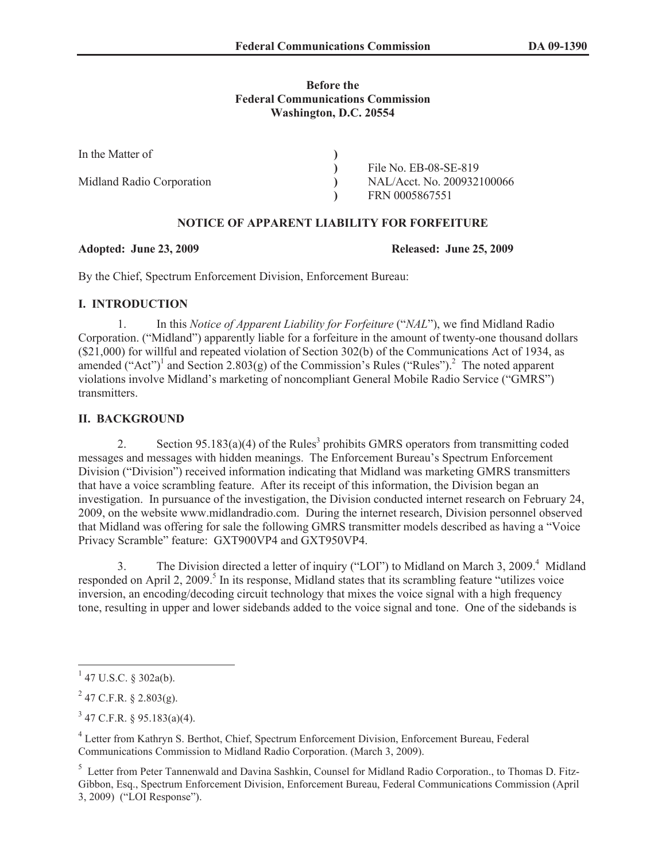#### **Before the Federal Communications Commission Washington, D.C. 20554**

| In the Matter of          |                            |
|---------------------------|----------------------------|
|                           | File No. EB-08-SE-819      |
| Midland Radio Corporation | NAL/Acct. No. 200932100066 |
|                           | FRN 0005867551             |

## **NOTICE OF APPARENT LIABILITY FOR FORFEITURE**

#### **Adopted: June 23, 2009 Released: June 25, 2009**

By the Chief, Spectrum Enforcement Division, Enforcement Bureau:

# **I. INTRODUCTION**

1. In this *Notice of Apparent Liability for Forfeiture* ("*NAL*"), we find Midland Radio Corporation. ("Midland") apparently liable for a forfeiture in the amount of twenty-one thousand dollars (\$21,000) for willful and repeated violation of Section 302(b) of the Communications Act of 1934, as amended ("Act")<sup>1</sup> and Section 2.803(g) of the Commission's Rules ("Rules").<sup>2</sup> The noted apparent violations involve Midland's marketing of noncompliant General Mobile Radio Service ("GMRS") transmitters.

# **II. BACKGROUND**

2. Section  $95.183(a)(4)$  of the Rules<sup>3</sup> prohibits GMRS operators from transmitting coded messages and messages with hidden meanings. The Enforcement Bureau's Spectrum Enforcement Division ("Division") received information indicating that Midland was marketing GMRS transmitters that have a voice scrambling feature. After its receipt of this information, the Division began an investigation. In pursuance of the investigation, the Division conducted internet research on February 24, 2009, on the website www.midlandradio.com. During the internet research, Division personnel observed that Midland was offering for sale the following GMRS transmitter models described as having a "Voice Privacy Scramble" feature: GXT900VP4 and GXT950VP4.

3. The Division directed a letter of inquiry ("LOI") to Midland on March 3, 2009.<sup>4</sup> Midland responded on April 2, 2009.<sup>5</sup> In its response, Midland states that its scrambling feature "utilizes voice inversion, an encoding/decoding circuit technology that mixes the voice signal with a high frequency tone, resulting in upper and lower sidebands added to the voice signal and tone. One of the sidebands is

 $1$  47 U.S.C. § 302a(b).

 $^{2}$  47 C.F.R. § 2.803(g).

 $3^{3}$  47 C.F.R. § 95.183(a)(4).

<sup>&</sup>lt;sup>4</sup> Letter from Kathryn S. Berthot, Chief, Spectrum Enforcement Division, Enforcement Bureau, Federal Communications Commission to Midland Radio Corporation. (March 3, 2009).

<sup>&</sup>lt;sup>5</sup> Letter from Peter Tannenwald and Davina Sashkin, Counsel for Midland Radio Corporation., to Thomas D. Fitz-Gibbon, Esq., Spectrum Enforcement Division, Enforcement Bureau, Federal Communications Commission (April 3, 2009) ("LOI Response").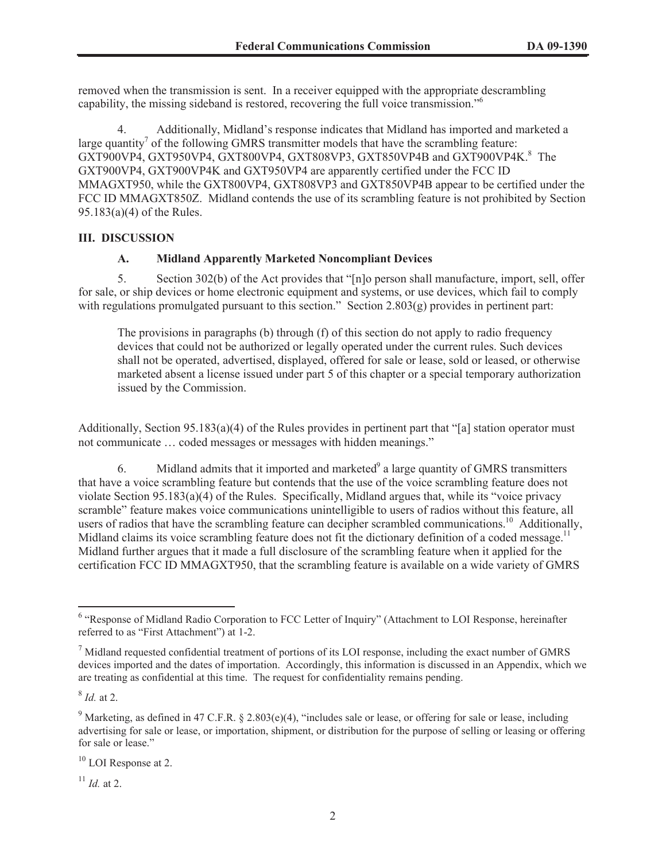removed when the transmission is sent. In a receiver equipped with the appropriate descrambling capability, the missing sideband is restored, recovering the full voice transmission."<sup>6</sup>

4. Additionally, Midland's response indicates that Midland has imported and marketed a large quantity<sup>7</sup> of the following GMRS transmitter models that have the scrambling feature: GXT900VP4, GXT950VP4, GXT800VP4, GXT808VP3, GXT850VP4B and GXT900VP4K.<sup>8</sup> The GXT900VP4, GXT900VP4K and GXT950VP4 are apparently certified under the FCC ID MMAGXT950, while the GXT800VP4, GXT808VP3 and GXT850VP4B appear to be certified under the FCC ID MMAGXT850Z. Midland contends the use of its scrambling feature is not prohibited by Section 95.183(a)(4) of the Rules.

## **III. DISCUSSION**

## **A. Midland Apparently Marketed Noncompliant Devices**

5. Section 302(b) of the Act provides that "[n]o person shall manufacture, import, sell, offer for sale, or ship devices or home electronic equipment and systems, or use devices, which fail to comply with regulations promulgated pursuant to this section." Section 2.803(g) provides in pertinent part:

The provisions in paragraphs (b) through (f) of this section do not apply to radio frequency devices that could not be authorized or legally operated under the current rules. Such devices shall not be operated, advertised, displayed, offered for sale or lease, sold or leased, or otherwise marketed absent a license issued under part 5 of this chapter or a special temporary authorization issued by the Commission.

Additionally, Section 95.183(a)(4) of the Rules provides in pertinent part that "[a] station operator must not communicate … coded messages or messages with hidden meanings."

6. Midland admits that it imported and marketed $9$  a large quantity of GMRS transmitters that have a voice scrambling feature but contends that the use of the voice scrambling feature does not violate Section 95.183(a)(4) of the Rules. Specifically, Midland argues that, while its "voice privacy scramble" feature makes voice communications unintelligible to users of radios without this feature, all users of radios that have the scrambling feature can decipher scrambled communications.<sup>10</sup> Additionally, Midland claims its voice scrambling feature does not fit the dictionary definition of a coded message.<sup>11</sup> Midland further argues that it made a full disclosure of the scrambling feature when it applied for the certification FCC ID MMAGXT950, that the scrambling feature is available on a wide variety of GMRS

8 *Id.* at 2.

 $11$  *Id.* at 2.

<sup>&</sup>lt;sup>6</sup> "Response of Midland Radio Corporation to FCC Letter of Inquiry" (Attachment to LOI Response, hereinafter referred to as "First Attachment") at 1-2.

 $<sup>7</sup>$  Midland requested confidential treatment of portions of its LOI response, including the exact number of GMRS</sup> devices imported and the dates of importation. Accordingly, this information is discussed in an Appendix, which we are treating as confidential at this time. The request for confidentiality remains pending.

<sup>&</sup>lt;sup>9</sup> Marketing, as defined in 47 C.F.R. § 2.803(e)(4), "includes sale or lease, or offering for sale or lease, including advertising for sale or lease, or importation, shipment, or distribution for the purpose of selling or leasing or offering for sale or lease."

<sup>&</sup>lt;sup>10</sup> LOI Response at 2.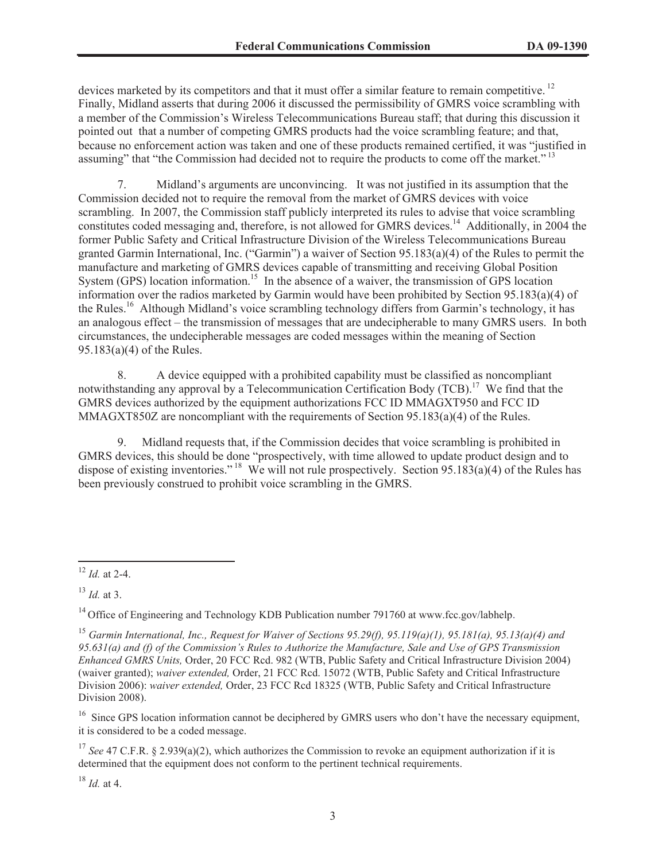devices marketed by its competitors and that it must offer a similar feature to remain competitive.<sup>12</sup> Finally, Midland asserts that during 2006 it discussed the permissibility of GMRS voice scrambling with a member of the Commission's Wireless Telecommunications Bureau staff; that during this discussion it pointed out that a number of competing GMRS products had the voice scrambling feature; and that, because no enforcement action was taken and one of these products remained certified, it was "justified in assuming" that "the Commission had decided not to require the products to come off the market."<sup>13</sup>

7. Midland's arguments are unconvincing. It was not justified in its assumption that the Commission decided not to require the removal from the market of GMRS devices with voice scrambling. In 2007, the Commission staff publicly interpreted its rules to advise that voice scrambling constitutes coded messaging and, therefore, is not allowed for GMRS devices.<sup>14</sup> Additionally, in 2004 the former Public Safety and Critical Infrastructure Division of the Wireless Telecommunications Bureau granted Garmin International, Inc. ("Garmin") a waiver of Section 95.183(a)(4) of the Rules to permit the manufacture and marketing of GMRS devices capable of transmitting and receiving Global Position System (GPS) location information.<sup>15</sup> In the absence of a waiver, the transmission of GPS location information over the radios marketed by Garmin would have been prohibited by Section 95.183(a)(4) of the Rules.<sup>16</sup> Although Midland's voice scrambling technology differs from Garmin's technology, it has an analogous effect – the transmission of messages that are undecipherable to many GMRS users. In both circumstances, the undecipherable messages are coded messages within the meaning of Section 95.183(a)(4) of the Rules.

8. A device equipped with a prohibited capability must be classified as noncompliant notwithstanding any approval by a Telecommunication Certification Body (TCB).<sup>17</sup> We find that the GMRS devices authorized by the equipment authorizations FCC ID MMAGXT950 and FCC ID MMAGXT850Z are noncompliant with the requirements of Section  $95.183(a)(4)$  of the Rules.

9. Midland requests that, if the Commission decides that voice scrambling is prohibited in GMRS devices, this should be done "prospectively, with time allowed to update product design and to dispose of existing inventories." <sup>18</sup> We will not rule prospectively. Section 95.183(a)(4) of the Rules has been previously construed to prohibit voice scrambling in the GMRS.

 $16$  Since GPS location information cannot be deciphered by GMRS users who don't have the necessary equipment, it is considered to be a coded message.

<sup>17</sup> *See* 47 C.F.R. § 2.939(a)(2), which authorizes the Commission to revoke an equipment authorization if it is determined that the equipment does not conform to the pertinent technical requirements.

 $18$  *Id.* at 4.

<sup>12</sup> *Id.* at 2-4.

<sup>13</sup> *Id.* at 3.

<sup>&</sup>lt;sup>14</sup> Office of Engineering and Technology KDB Publication number 791760 at www.fcc.gov/labhelp.

<sup>15</sup> *Garmin International, Inc., Request for Waiver of Sections 95.29(f), 95.119(a)(1), 95.181(a), 95.13(a)(4) and 95.631(a) and (f) of the Commission's Rules to Authorize the Manufacture, Sale and Use of GPS Transmission Enhanced GMRS Units,* Order, 20 FCC Rcd. 982 (WTB, Public Safety and Critical Infrastructure Division 2004) (waiver granted); *waiver extended,* Order, 21 FCC Rcd. 15072 (WTB, Public Safety and Critical Infrastructure Division 2006): *waiver extended,* Order, 23 FCC Rcd 18325 (WTB, Public Safety and Critical Infrastructure Division 2008).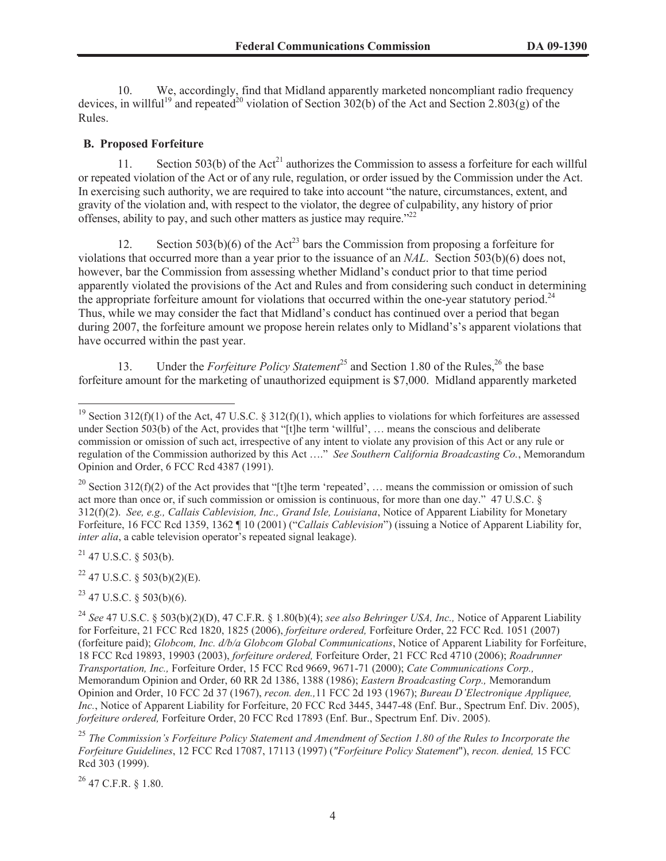10. We, accordingly, find that Midland apparently marketed noncompliant radio frequency devices, in willful<sup>19</sup> and repeated<sup>20</sup> violation of Section 302(b) of the Act and Section 2.803(g) of the Rules.

#### **B. Proposed Forfeiture**

11. Section 503(b) of the  $Act^{21}$  authorizes the Commission to assess a forfeiture for each willful or repeated violation of the Act or of any rule, regulation, or order issued by the Commission under the Act. In exercising such authority, we are required to take into account "the nature, circumstances, extent, and gravity of the violation and, with respect to the violator, the degree of culpability, any history of prior offenses, ability to pay, and such other matters as justice may require."<sup>22</sup>

12. Section 503(b)(6) of the Act<sup>23</sup> bars the Commission from proposing a forfeiture for violations that occurred more than a year prior to the issuance of an *NAL*. Section 503(b)(6) does not, however, bar the Commission from assessing whether Midland's conduct prior to that time period apparently violated the provisions of the Act and Rules and from considering such conduct in determining the appropriate forfeiture amount for violations that occurred within the one-year statutory period.<sup>24</sup> Thus, while we may consider the fact that Midland's conduct has continued over a period that began during 2007, the forfeiture amount we propose herein relates only to Midland's's apparent violations that have occurred within the past year.

13. Under the *Forfeiture Policy Statement*<sup>25</sup> and Section 1.80 of the Rules,<sup>26</sup> the base forfeiture amount for the marketing of unauthorized equipment is \$7,000. Midland apparently marketed

 $21$  47 U.S.C. § 503(b).

 $22$  47 U.S.C. § 503(b)(2)(E).

 $^{23}$  47 U.S.C. § 503(b)(6).

 $^{26}$  47 C.F.R. § 1.80.

<sup>&</sup>lt;sup>19</sup> Section 312(f)(1) of the Act, 47 U.S.C. § 312(f)(1), which applies to violations for which forfeitures are assessed under Section 503(b) of the Act, provides that "[t]he term 'willful', … means the conscious and deliberate commission or omission of such act, irrespective of any intent to violate any provision of this Act or any rule or regulation of the Commission authorized by this Act …." *See Southern California Broadcasting Co.*, Memorandum Opinion and Order, 6 FCC Rcd 4387 (1991).

<sup>&</sup>lt;sup>20</sup> Section 312(f)(2) of the Act provides that "[t]he term 'repeated', ... means the commission or omission of such act more than once or, if such commission or omission is continuous, for more than one day." 47 U.S.C. § 312(f)(2). *See, e.g., Callais Cablevision, Inc., Grand Isle, Louisiana*, Notice of Apparent Liability for Monetary Forfeiture, 16 FCC Rcd 1359, 1362 ¶ 10 (2001) ("*Callais Cablevision*") (issuing a Notice of Apparent Liability for, *inter alia*, a cable television operator's repeated signal leakage).

<sup>24</sup> *See* 47 U.S.C. § 503(b)(2)(D), 47 C.F.R. § 1.80(b)(4); *see also Behringer USA, Inc.,* Notice of Apparent Liability for Forfeiture, 21 FCC Rcd 1820, 1825 (2006), *forfeiture ordered,* Forfeiture Order, 22 FCC Rcd. 1051 (2007) (forfeiture paid); *Globcom, Inc. d/b/a Globcom Global Communications*, Notice of Apparent Liability for Forfeiture, 18 FCC Rcd 19893, 19903 (2003), *forfeiture ordered,* Forfeiture Order, 21 FCC Rcd 4710 (2006); *Roadrunner Transportation, Inc.,* Forfeiture Order, 15 FCC Rcd 9669, 9671-71 (2000); *Cate Communications Corp.,* Memorandum Opinion and Order, 60 RR 2d 1386, 1388 (1986); *Eastern Broadcasting Corp.,* Memorandum Opinion and Order, 10 FCC 2d 37 (1967), *recon. den.,*11 FCC 2d 193 (1967); *Bureau D'Electronique Appliquee, Inc.*, Notice of Apparent Liability for Forfeiture, 20 FCC Rcd 3445, 3447-48 (Enf. Bur., Spectrum Enf. Div. 2005), *forfeiture ordered,* Forfeiture Order, 20 FCC Rcd 17893 (Enf. Bur., Spectrum Enf. Div. 2005).

<sup>25</sup> *The Commission's Forfeiture Policy Statement and Amendment of Section 1.80 of the Rules to Incorporate the Forfeiture Guidelines*, 12 FCC Rcd 17087, 17113 (1997) (*"Forfeiture Policy Statement*"), *recon. denied,* 15 FCC Rcd 303 (1999).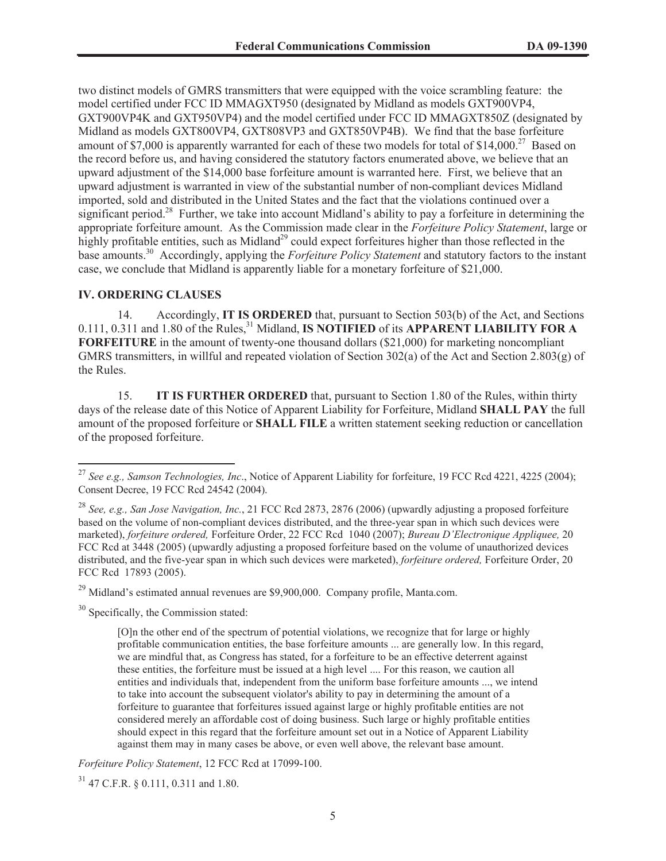two distinct models of GMRS transmitters that were equipped with the voice scrambling feature: the model certified under FCC ID MMAGXT950 (designated by Midland as models GXT900VP4, GXT900VP4K and GXT950VP4) and the model certified under FCC ID MMAGXT850Z (designated by Midland as models GXT800VP4, GXT808VP3 and GXT850VP4B). We find that the base forfeiture amount of \$7,000 is apparently warranted for each of these two models for total of \$14,000.<sup>27</sup> Based on the record before us, and having considered the statutory factors enumerated above, we believe that an upward adjustment of the \$14,000 base forfeiture amount is warranted here. First, we believe that an upward adjustment is warranted in view of the substantial number of non-compliant devices Midland imported, sold and distributed in the United States and the fact that the violations continued over a significant period.<sup>28</sup> Further, we take into account Midland's ability to pay a forfeiture in determining the appropriate forfeiture amount. As the Commission made clear in the *Forfeiture Policy Statement*, large or highly profitable entities, such as Midland<sup>29</sup> could expect forfeitures higher than those reflected in the base amounts.<sup>30</sup> Accordingly, applying the *Forfeiture Policy Statement* and statutory factors to the instant case, we conclude that Midland is apparently liable for a monetary forfeiture of \$21,000.

#### **IV. ORDERING CLAUSES**

14. Accordingly, **IT IS ORDERED** that, pursuant to Section 503(b) of the Act, and Sections 0.111, 0.311 and 1.80 of the Rules,<sup>31</sup> Midland, **IS NOTIFIED** of its **APPARENT LIABILITY FOR A FORFEITURE** in the amount of twenty-one thousand dollars (\$21,000) for marketing noncompliant GMRS transmitters, in willful and repeated violation of Section 302(a) of the Act and Section 2.803(g) of the Rules.

15. **IT IS FURTHER ORDERED** that, pursuant to Section 1.80 of the Rules, within thirty days of the release date of this Notice of Apparent Liability for Forfeiture, Midland **SHALL PAY** the full amount of the proposed forfeiture or **SHALL FILE** a written statement seeking reduction or cancellation of the proposed forfeiture.

*Forfeiture Policy Statement*, 12 FCC Rcd at 17099-100.

 $31$  47 C.F.R. § 0.111, 0.311 and 1.80.

<sup>27</sup> *See e.g., Samson Technologies, Inc*., Notice of Apparent Liability for forfeiture, 19 FCC Rcd 4221, 4225 (2004); Consent Decree, 19 FCC Rcd 24542 (2004).

<sup>28</sup> *See, e.g., San Jose Navigation, Inc.*, 21 FCC Rcd 2873, 2876 (2006) (upwardly adjusting a proposed forfeiture based on the volume of non-compliant devices distributed, and the three-year span in which such devices were marketed), *forfeiture ordered,* Forfeiture Order, 22 FCC Rcd 1040 (2007); *Bureau D'Electronique Appliquee,* 20 FCC Rcd at 3448 (2005) (upwardly adjusting a proposed forfeiture based on the volume of unauthorized devices distributed, and the five-year span in which such devices were marketed), *forfeiture ordered,* Forfeiture Order, 20 FCC Rcd 17893 (2005).

 $^{29}$  Midland's estimated annual revenues are \$9,900,000. Company profile, Manta.com.

<sup>&</sup>lt;sup>30</sup> Specifically, the Commission stated:

<sup>[</sup>O]n the other end of the spectrum of potential violations, we recognize that for large or highly profitable communication entities, the base forfeiture amounts ... are generally low. In this regard, we are mindful that, as Congress has stated, for a forfeiture to be an effective deterrent against these entities, the forfeiture must be issued at a high level .... For this reason, we caution all entities and individuals that, independent from the uniform base forfeiture amounts ..., we intend to take into account the subsequent violator's ability to pay in determining the amount of a forfeiture to guarantee that forfeitures issued against large or highly profitable entities are not considered merely an affordable cost of doing business. Such large or highly profitable entities should expect in this regard that the forfeiture amount set out in a Notice of Apparent Liability against them may in many cases be above, or even well above, the relevant base amount.